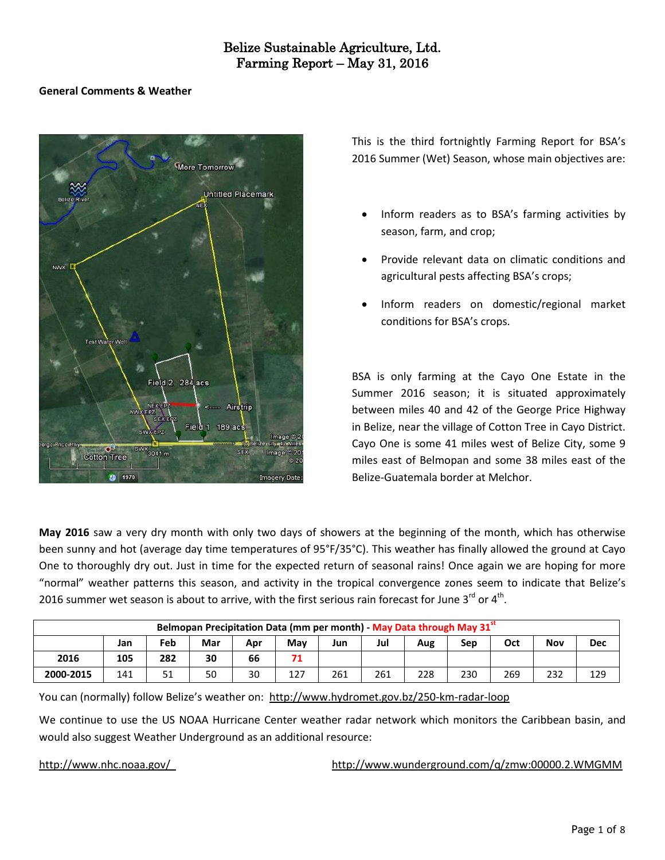### **General Comments & Weather**



This is the third fortnightly Farming Report for BSA's 2016 Summer (Wet) Season, whose main objectives are:

- Inform readers as to BSA's farming activities by season, farm, and crop;
- Provide relevant data on climatic conditions and agricultural pests affecting BSA's crops;
- Inform readers on domestic/regional market conditions for BSA's crops.

BSA is only farming at the Cayo One Estate in the Summer 2016 season; it is situated approximately between miles 40 and 42 of the George Price Highway in Belize, near the village of Cotton Tree in Cayo District. Cayo One is some 41 miles west of Belize City, some 9 miles east of Belmopan and some 38 miles east of the Belize-Guatemala border at Melchor.

**May 2016** saw a very dry month with only two days of showers at the beginning of the month, which has otherwise been sunny and hot (average day time temperatures of 95°F/35°C). This weather has finally allowed the ground at Cayo One to thoroughly dry out. Just in time for the expected return of seasonal rains! Once again we are hoping for more "normal" weather patterns this season, and activity in the tropical convergence zones seem to indicate that Belize's 2016 summer wet season is about to arrive, with the first serious rain forecast for June 3<sup>rd</sup> or 4<sup>th</sup>.

| Belmopan Precipitation Data (mm per month) - May Data through May 31 <sup>st</sup> |     |                   |    |    |     |     |     |     |            |     |     |            |  |
|------------------------------------------------------------------------------------|-----|-------------------|----|----|-----|-----|-----|-----|------------|-----|-----|------------|--|
|                                                                                    | Jan | Feb<br>Mar<br>Apr |    |    | Mav | Jun | Jul | Aug | Oct<br>Sep |     | Nov | <b>Dec</b> |  |
| 2016                                                                               | 105 | 282               | 30 | 66 | 71  |     |     |     |            |     |     |            |  |
| 2000-2015                                                                          | 141 | 51                | 50 | 30 | 127 | 261 | 261 | 228 | 230        | 269 | 232 | 129        |  |

You can (normally) follow Belize's weather on: <http://www.hydromet.gov.bz/250-km-radar-loop>

We continue to use the US NOAA Hurricane Center weather radar network which monitors the Caribbean basin, and would also suggest Weather Underground as an additional resource:

<http://www.nhc.noaa.gov/><http://www.wunderground.com/q/zmw:00000.2.WMGMM>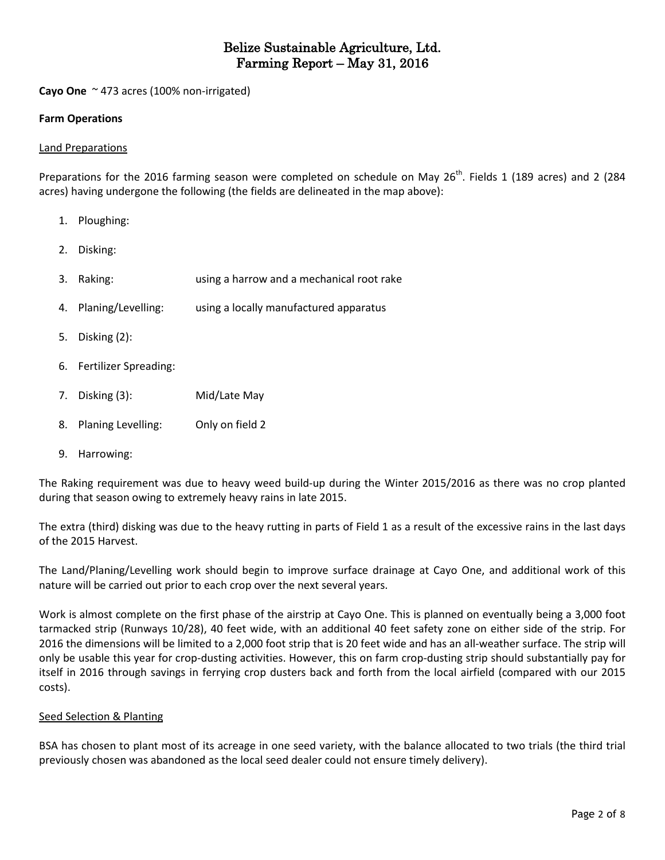**Cayo One** ~ 473 acres (100% non-irrigated)

### **Farm Operations**

#### Land Preparations

Preparations for the 2016 farming season were completed on schedule on May 26<sup>th</sup>. Fields 1 (189 acres) and 2 (284 acres) having undergone the following (the fields are delineated in the map above):

1. Ploughing: 2. Disking: 3. Raking: using a harrow and a mechanical root rake 4. Planing/Levelling: using a locally manufactured apparatus 5. Disking (2): 6. Fertilizer Spreading: 7. Disking (3): Mid/Late May 8. Planing Levelling: Only on field 2 9. Harrowing:

The Raking requirement was due to heavy weed build-up during the Winter 2015/2016 as there was no crop planted during that season owing to extremely heavy rains in late 2015.

The extra (third) disking was due to the heavy rutting in parts of Field 1 as a result of the excessive rains in the last days of the 2015 Harvest.

The Land/Planing/Levelling work should begin to improve surface drainage at Cayo One, and additional work of this nature will be carried out prior to each crop over the next several years.

Work is almost complete on the first phase of the airstrip at Cayo One. This is planned on eventually being a 3,000 foot tarmacked strip (Runways 10/28), 40 feet wide, with an additional 40 feet safety zone on either side of the strip. For 2016 the dimensions will be limited to a 2,000 foot strip that is 20 feet wide and has an all-weather surface. The strip will only be usable this year for crop-dusting activities. However, this on farm crop-dusting strip should substantially pay for itself in 2016 through savings in ferrying crop dusters back and forth from the local airfield (compared with our 2015 costs).

### Seed Selection & Planting

BSA has chosen to plant most of its acreage in one seed variety, with the balance allocated to two trials (the third trial previously chosen was abandoned as the local seed dealer could not ensure timely delivery).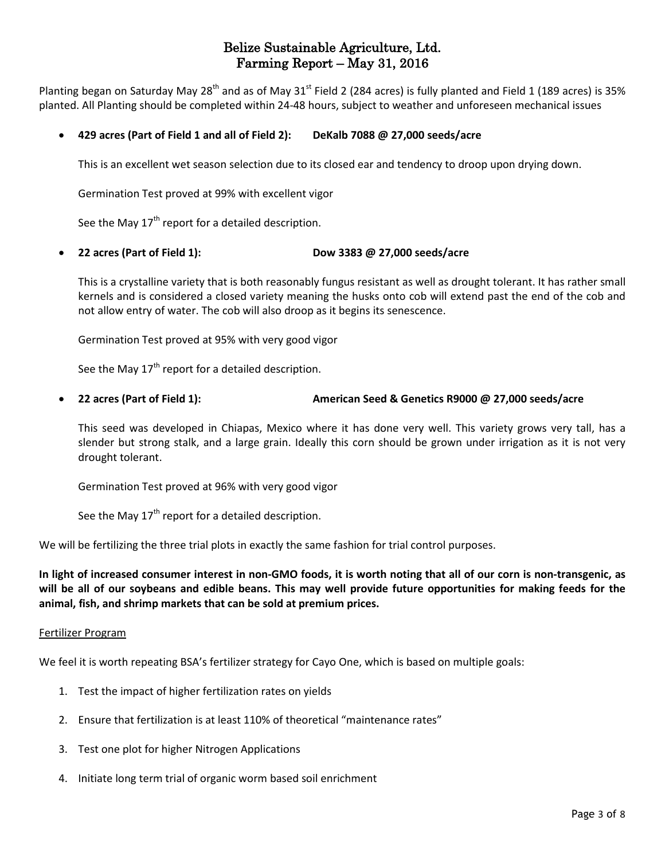Planting began on Saturday May 28<sup>th</sup> and as of May 31<sup>st</sup> Field 2 (284 acres) is fully planted and Field 1 (189 acres) is 35% planted. All Planting should be completed within 24-48 hours, subject to weather and unforeseen mechanical issues

### **429 acres (Part of Field 1 and all of Field 2): DeKalb 7088 @ 27,000 seeds/acre**

This is an excellent wet season selection due to its closed ear and tendency to droop upon drying down.

Germination Test proved at 99% with excellent vigor

See the May  $17<sup>th</sup>$  report for a detailed description.

**22 acres (Part of Field 1): Dow 3383 @ 27,000 seeds/acre**

This is a crystalline variety that is both reasonably fungus resistant as well as drought tolerant. It has rather small kernels and is considered a closed variety meaning the husks onto cob will extend past the end of the cob and not allow entry of water. The cob will also droop as it begins its senescence.

Germination Test proved at 95% with very good vigor

See the May  $17<sup>th</sup>$  report for a detailed description.

#### **22 acres (Part of Field 1): American Seed & Genetics R9000 @ 27,000 seeds/acre**

This seed was developed in Chiapas, Mexico where it has done very well. This variety grows very tall, has a slender but strong stalk, and a large grain. Ideally this corn should be grown under irrigation as it is not very drought tolerant.

Germination Test proved at 96% with very good vigor

See the May  $17<sup>th</sup>$  report for a detailed description.

We will be fertilizing the three trial plots in exactly the same fashion for trial control purposes.

In light of increased consumer interest in non-GMO foods, it is worth noting that all of our corn is non-transgenic, as will be all of our soybeans and edible beans. This may well provide future opportunities for making feeds for the **animal, fish, and shrimp markets that can be sold at premium prices.**

#### Fertilizer Program

We feel it is worth repeating BSA's fertilizer strategy for Cayo One, which is based on multiple goals:

- 1. Test the impact of higher fertilization rates on yields
- 2. Ensure that fertilization is at least 110% of theoretical "maintenance rates"
- 3. Test one plot for higher Nitrogen Applications
- 4. Initiate long term trial of organic worm based soil enrichment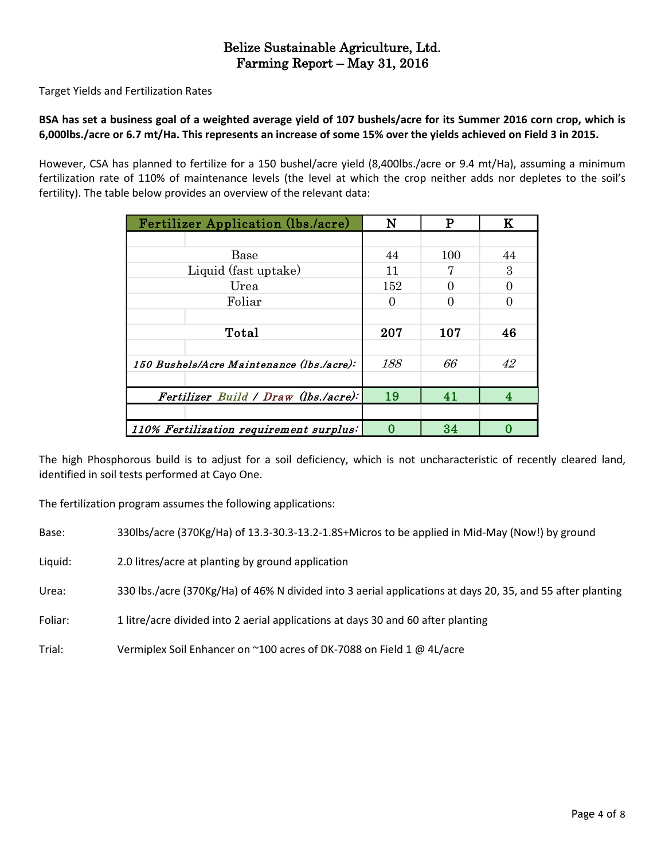Target Yields and Fertilization Rates

### BSA has set a business goal of a weighted average yield of 107 bushels/acre for its Summer 2016 corn crop, which is 6,000lbs./acre or 6.7 mt/Ha. This represents an increase of some 15% over the yields achieved on Field 3 in 2015.

However, CSA has planned to fertilize for a 150 bushel/acre yield (8,400lbs./acre or 9.4 mt/Ha), assuming a minimum fertilization rate of 110% of maintenance levels (the level at which the crop neither adds nor depletes to the soil's fertility). The table below provides an overview of the relevant data:

| <b>Fertilizer Application (lbs./acre)</b> | N        | P   | K  |
|-------------------------------------------|----------|-----|----|
|                                           |          |     |    |
| Base                                      | 44       | 100 | 44 |
| Liquid (fast uptake)                      | 11       |     | 3  |
| Urea                                      | 152      |     |    |
| Foliar                                    | $\theta$ |     |    |
|                                           |          |     |    |
| Total                                     | 207      | 107 | 46 |
|                                           |          |     |    |
| 150 Bushels/Acre Maintenance (lbs./acre): | 188      | 66  | 42 |
|                                           |          |     |    |
| Fertilizer Build / Draw (lbs./acre):      | 19       | 41  |    |
|                                           |          |     |    |
| 110% Fertilization requirement surplus:   |          | 34  |    |

The high Phosphorous build is to adjust for a soil deficiency, which is not uncharacteristic of recently cleared land, identified in soil tests performed at Cayo One.

The fertilization program assumes the following applications:

Base: 330lbs/acre (370Kg/Ha) of 13.3-30.3-13.2-1.8S+Micros to be applied in Mid-May (Now!) by ground

Liquid: 2.0 litres/acre at planting by ground application

Urea: 330 lbs./acre (370Kg/Ha) of 46% N divided into 3 aerial applications at days 20, 35, and 55 after planting

Foliar: 1 litre/acre divided into 2 aerial applications at days 30 and 60 after planting

Trial: Vermiplex Soil Enhancer on ~100 acres of DK-7088 on Field 1 @ 4L/acre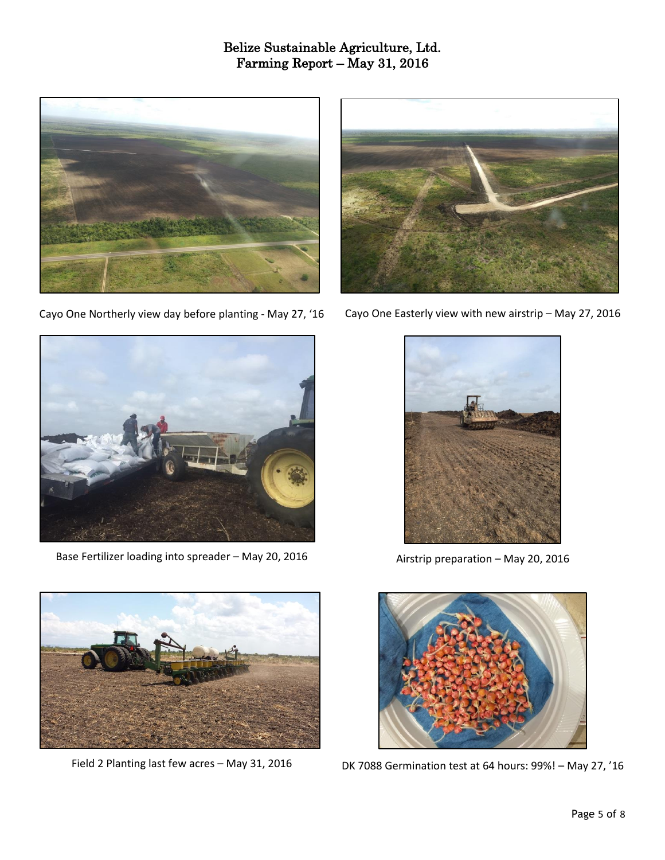

Cayo One Northerly view day before planting - May 27, '16



Cayo One Easterly view with new airstrip – May 27, 2016



Base Fertilizer loading into spreader – May 20, 2016



Airstrip preparation – May 20, 2016



Field 2 Planting last few acres – May 31, 2016



DK 7088 Germination test at 64 hours: 99%! – May 27, '16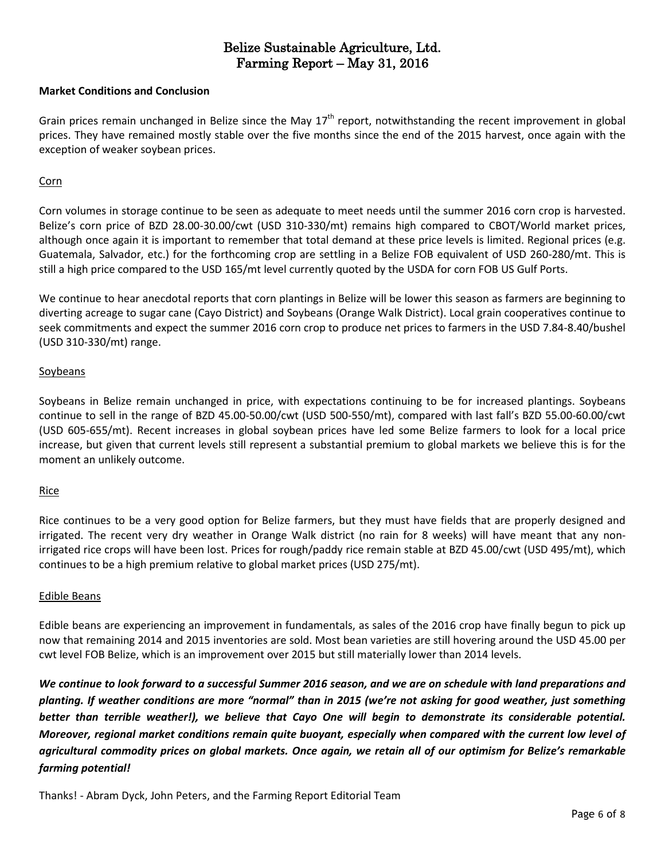#### **Market Conditions and Conclusion**

Grain prices remain unchanged in Belize since the May  $17<sup>th</sup>$  report, notwithstanding the recent improvement in global prices. They have remained mostly stable over the five months since the end of the 2015 harvest, once again with the exception of weaker soybean prices.

#### Corn

Corn volumes in storage continue to be seen as adequate to meet needs until the summer 2016 corn crop is harvested. Belize's corn price of BZD 28.00-30.00/cwt (USD 310-330/mt) remains high compared to CBOT/World market prices, although once again it is important to remember that total demand at these price levels is limited. Regional prices (e.g. Guatemala, Salvador, etc.) for the forthcoming crop are settling in a Belize FOB equivalent of USD 260-280/mt. This is still a high price compared to the USD 165/mt level currently quoted by the USDA for corn FOB US Gulf Ports.

We continue to hear anecdotal reports that corn plantings in Belize will be lower this season as farmers are beginning to diverting acreage to sugar cane (Cayo District) and Soybeans (Orange Walk District). Local grain cooperatives continue to seek commitments and expect the summer 2016 corn crop to produce net prices to farmers in the USD 7.84-8.40/bushel (USD 310-330/mt) range.

#### Soybeans

Soybeans in Belize remain unchanged in price, with expectations continuing to be for increased plantings. Soybeans continue to sell in the range of BZD 45.00-50.00/cwt (USD 500-550/mt), compared with last fall's BZD 55.00-60.00/cwt (USD 605-655/mt). Recent increases in global soybean prices have led some Belize farmers to look for a local price increase, but given that current levels still represent a substantial premium to global markets we believe this is for the moment an unlikely outcome.

### Rice

Rice continues to be a very good option for Belize farmers, but they must have fields that are properly designed and irrigated. The recent very dry weather in Orange Walk district (no rain for 8 weeks) will have meant that any nonirrigated rice crops will have been lost. Prices for rough/paddy rice remain stable at BZD 45.00/cwt (USD 495/mt), which continues to be a high premium relative to global market prices (USD 275/mt).

#### Edible Beans

Edible beans are experiencing an improvement in fundamentals, as sales of the 2016 crop have finally begun to pick up now that remaining 2014 and 2015 inventories are sold. Most bean varieties are still hovering around the USD 45.00 per cwt level FOB Belize, which is an improvement over 2015 but still materially lower than 2014 levels.

We continue to look forward to a successful Summer 2016 season, and we are on schedule with land preparations and planting. If weather conditions are more "normal" than in 2015 (we're not asking for good weather, just something *better than terrible weather!), we believe that Cayo One will begin to demonstrate its considerable potential.* Moreover, regional market conditions remain quite buoyant, especially when compared with the current low level of agricultural commodity prices on global markets. Once again, we retain all of our optimism for Belize's remarkable *farming potential!*

Thanks! - Abram Dyck, John Peters, and the Farming Report Editorial Team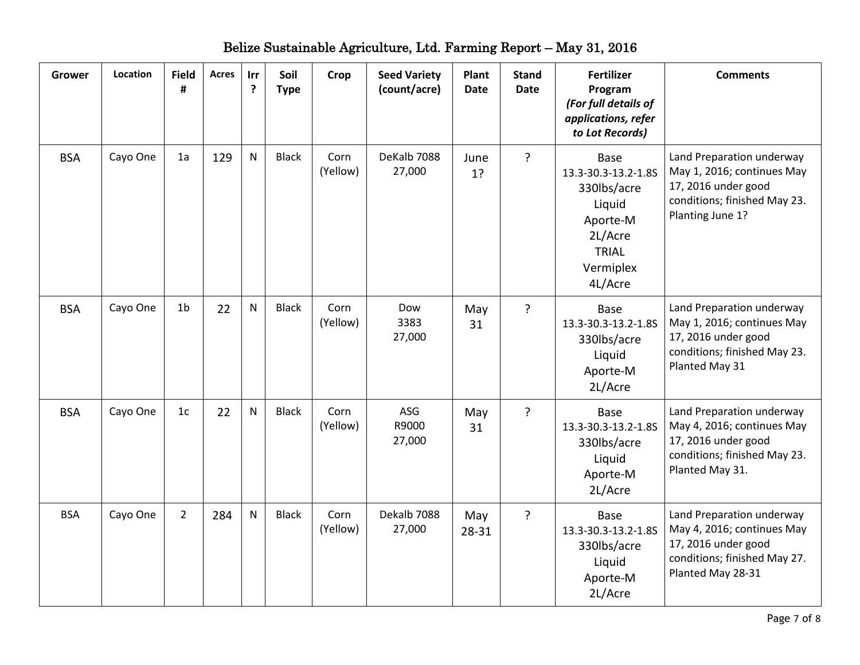| <b>Grower</b> | Location | <b>Field</b><br># | <b>Acres</b> | Irr<br>?     | Soil<br><b>Type</b> | Crop             | <b>Seed Variety</b><br>(count/acre) | Plant<br><b>Date</b> | <b>Stand</b><br><b>Date</b> | <b>Fertilizer</b><br>Program<br>(For full details of<br>applications, refer<br>to Lot Records)                             | <b>Comments</b>                                                                                                                     |
|---------------|----------|-------------------|--------------|--------------|---------------------|------------------|-------------------------------------|----------------------|-----------------------------|----------------------------------------------------------------------------------------------------------------------------|-------------------------------------------------------------------------------------------------------------------------------------|
| <b>BSA</b>    | Cayo One | 1a                | 129          | $\mathsf{N}$ | <b>Black</b>        | Corn<br>(Yellow) | DeKalb 7088<br>27,000               | June<br>1?           | ?                           | <b>Base</b><br>13.3-30.3-13.2-1.8S<br>330lbs/acre<br>Liquid<br>Aporte-M<br>2L/Acre<br><b>TRIAL</b><br>Vermiplex<br>4L/Acre | Land Preparation underway<br>May 1, 2016; continues May<br>17, 2016 under good<br>conditions; finished May 23.<br>Planting June 1?  |
| <b>BSA</b>    | Cayo One | 1 <sub>b</sub>    | 22           | $\mathsf{N}$ | <b>Black</b>        | Corn<br>(Yellow) | Dow<br>3383<br>27,000               | May<br>31            | ?                           | Base<br>13.3-30.3-13.2-1.8S<br>330lbs/acre<br>Liquid<br>Aporte-M<br>2L/Acre                                                | Land Preparation underway<br>May 1, 2016; continues May<br>17, 2016 under good<br>conditions; finished May 23.<br>Planted May 31    |
| <b>BSA</b>    | Cayo One | 1 <sub>c</sub>    | 22           | N            | <b>Black</b>        | Corn<br>(Yellow) | ASG<br>R9000<br>27,000              | May<br>31            | ?                           | Base<br>13.3-30.3-13.2-1.8S<br>330lbs/acre<br>Liquid<br>Aporte-M<br>2L/Acre                                                | Land Preparation underway<br>May 4, 2016; continues May<br>17, 2016 under good<br>conditions; finished May 23.<br>Planted May 31.   |
| <b>BSA</b>    | Cayo One | $\overline{2}$    | 284          | $\mathsf{N}$ | <b>Black</b>        | Corn<br>(Yellow) | Dekalb 7088<br>27,000               | May<br>28-31         | $\overline{?}$              | <b>Base</b><br>13.3-30.3-13.2-1.8S<br>330lbs/acre<br>Liquid<br>Aporte-M<br>2L/Acre                                         | Land Preparation underway<br>May 4, 2016; continues May<br>17, 2016 under good<br>conditions; finished May 27.<br>Planted May 28-31 |